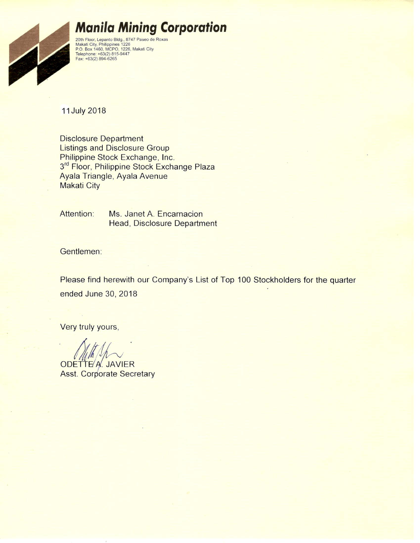

# **Manila Mining Corporation**

20th Floor, Lepanto Bldg., 8747 Paseo de Roxas<br>Makati City, Philippines 1226<br>P.O. Box 1460, MCPO, 1226, Makati City<br>Telephone: +63(2) 815-9447<br>Fax: +63(2) 894-6265

11 July 2018

**Disclosure Department Listings and Disclosure Group** Philippine Stock Exchange, Inc. 3rd Floor, Philippine Stock Exchange Plaza Ayala Triangle, Ayala Avenue **Makati City** 

Attention: Ms. Janet A. Encarnacion **Head, Disclosure Department** 

Gentlemen:

Please find herewith our Company's List of Top 100 Stockholders for the quarter ended June 30, 2018

Very truly yours,

ODETTE A. JAVIER **Asst. Corporate Secretary**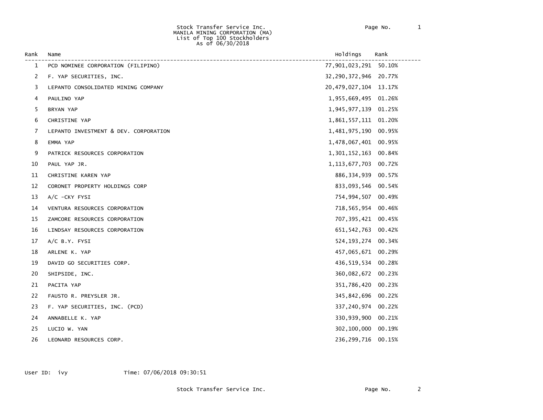#### Stock Transfer Service Inc. Page No. 1 MANILA MINING CORPORATION (MA) List of Top 100 Stockholders As of 06/30/2018

| Rank           | Name                                  | Holdings                  | Rank   |
|----------------|---------------------------------------|---------------------------|--------|
| 1              | PCD NOMINEE CORPORATION (FILIPINO)    | 77,901,023,291 50.10%     |        |
| $\overline{2}$ | F. YAP SECURITIES, INC.               | 32,290,372,946 20.77%     |        |
| 3              | LEPANTO CONSOLIDATED MINING COMPANY   | 20, 479, 027, 104 13. 17% |        |
| 4              | PAULINO YAP                           | 1,955,669,495 01.26%      |        |
| 5              | BRYAN YAP                             | 1,945,977,139 01.25%      |        |
| 6              | CHRISTINE YAP                         | 1,861,557,111 01.20%      |        |
| 7              | LEPANTO INVESTMENT & DEV. CORPORATION | 1,481,975,190 00.95%      |        |
| 8              | EMMA YAP                              | 1,478,067,401 00.95%      |        |
| 9              | PATRICK RESOURCES CORPORATION         | 1,301,152,163 00.84%      |        |
| 10             | PAUL YAP JR.                          | 1, 113, 677, 703 00. 72%  |        |
| 11             | CHRISTINE KAREN YAP                   | 886, 334, 939             | 00.57% |
| 12             | CORONET PROPERTY HOLDINGS CORP        | 833,093,546 00.54%        |        |
| 13             | $A/C$ -CKY FYSI                       | 754,994,507 00.49%        |        |
| 14             | VENTURA RESOURCES CORPORATION         | 718,565,954 00.46%        |        |
| 15             | ZAMCORE RESOURCES CORPORATION         | 707, 395, 421 00.45%      |        |
| 16             | LINDSAY RESOURCES CORPORATION         | 651, 542, 763 00.42%      |        |
| 17             | A/C B.Y. FYSI                         | 524, 193, 274 00.34%      |        |
| 18             | ARLENE K. YAP                         | 457,065,671 00.29%        |        |
| 19             | DAVID GO SECURITIES CORP.             | 436,519,534 00.28%        |        |
| 20             | SHIPSIDE, INC.                        | 360,082,672 00.23%        |        |
| 21             | PACITA YAP                            | 351,786,420               | 00.23% |
| 22             | FAUSTO R. PREYSLER JR.                | 345,842,696 00.22%        |        |
| 23             | F. YAP SECURITIES, INC. (PCD)         | 337, 240, 974 00.22%      |        |
| 24             | ANNABELLE K. YAP                      | 330,939,900               | 00.21% |
| 25             | LUCIO W. YAN                          | 302,100,000               | 00.19% |
| 26             | LEONARD RESOURCES CORP.               | 236,299,716               | 00.15% |

User ID: ivy Time: 07/06/2018 09:30:51

Stock Transfer Service Inc. The Contract of Page No. 2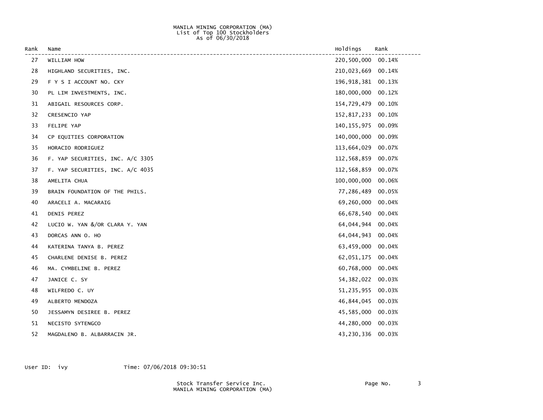#### MANILA MINING CORPORATION (MA) List of Top 100 Stockholders  $\Delta s$  of 06/30/2018

| Rank | Name                             | Holdings             | Rank   |
|------|----------------------------------|----------------------|--------|
| 27   | WILLIAM HOW                      | 220,500,000          | 00.14% |
| 28   | HIGHLAND SECURITIES, INC.        | 210,023,669          | 00.14% |
| 29   | F Y S I ACCOUNT NO. CKY          | 196, 918, 381 00.13% |        |
| 30   | PL LIM INVESTMENTS, INC.         | 180,000,000          | 00.12% |
| 31   | ABIGAIL RESOURCES CORP.          | 154,729,479          | 00.10% |
| 32   | CRESENCIO YAP                    | 152,817,233          | 00.10% |
| 33   | FELIPE YAP                       | 140, 155, 975        | 00.09% |
| 34   | CP EQUITIES CORPORATION          | 140,000,000          | 00.09% |
| 35   | HORACIO RODRIGUEZ                | 113,664,029          | 00.07% |
| 36   | F. YAP SECURITIES, INC. A/C 3305 | 112,568,859          | 00.07% |
| 37   | F. YAP SECURITIES, INC. A/C 4035 | 112,568,859          | 00.07% |
| 38   | AMELITA CHUA                     | 100,000,000          | 00.06% |
| 39   | BRAIN FOUNDATION OF THE PHILS.   | 77,286,489           | 00.05% |
| 40   | ARACELI A. MACARAIG              | 69,260,000           | 00.04% |
| 41   | DENIS PEREZ                      | 66,678,540 00.04%    |        |
| 42   | LUCIO W. YAN &/OR CLARA Y. YAN   | 64,044,944           | 00.04% |
| 43   | DORCAS ANN O. HO                 | 64,044,943           | 00.04% |
| 44   | KATERINA TANYA B. PEREZ          | 63,459,000           | 00.04% |
| 45   | CHARLENE DENISE B. PEREZ         | 62,051,175           | 00.04% |
| 46   | MA. CYMBELINE B. PEREZ           | 60,768,000           | 00.04% |
| 47   | JANICE C. SY                     | 54, 382, 022         | 00.03% |
| 48   | WILFREDO C. UY                   | 51,235,955           | 00.03% |
| 49   | ALBERTO MENDOZA                  | 46,844,045           | 00.03% |
| 50   | JESSAMYN DESIREE B. PEREZ        | 45,585,000           | 00.03% |
| 51   | NECISTO SYTENGCO                 | 44,280,000           | 00.03% |
| 52   | MAGDALENO B. ALBARRACIN JR.      | 43,230,336           | 00.03% |

User ID: ivy Time: 07/06/2018 09:30:51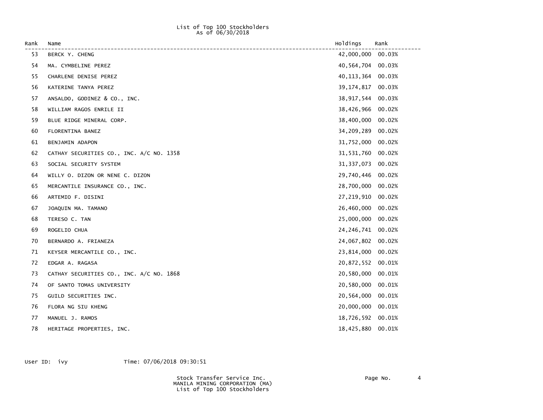### List of Top 100 Stockholders  $\Delta s$  of 06/30/2018

| Rank | Name                                     | Holdings          | Rank   |
|------|------------------------------------------|-------------------|--------|
| 53   | BERCK Y. CHENG                           | 42,000,000        | 00.03% |
| 54   | MA. CYMBELINE PEREZ                      | 40,564,704        | 00.03% |
| 55   | CHARLENE DENISE PEREZ                    | 40,113,364        | 00.03% |
| 56   | KATERINE TANYA PEREZ                     | 39, 174, 817      | 00.03% |
| 57   | ANSALDO, GODINEZ & CO., INC.             | 38,917,544        | 00.03% |
| 58   | WILLIAM RAGOS ENRILE II                  | 38,426,966        | 00.02% |
| 59   | BLUE RIDGE MINERAL CORP.                 | 38,400,000        | 00.02% |
| 60   | FLORENTINA BANEZ                         | 34,209,289        | 00.02% |
| 61   | BENJAMIN ADAPON                          | 31,752,000        | 00.02% |
| 62   | CATHAY SECURITIES CO., INC. A/C NO. 1358 | 31,531,760        | 00.02% |
| 63   | SOCIAL SECURITY SYSTEM                   | 31, 337, 073      | 00.02% |
| 64   | WILLY O. DIZON OR NENE C. DIZON          | 29,740,446        | 00.02% |
| 65   | MERCANTILE INSURANCE CO., INC.           | 28,700,000        | 00.02% |
| 66   | ARTEMIO F. DISINI                        | 27,219,910        | 00.02% |
| 67   | JOAQUIN MA. TAMANO                       | 26,460,000        | 00.02% |
| 68   | TERESO C. TAN                            | 25,000,000        | 00.02% |
| 69   | ROGELIO CHUA                             | 24, 246, 741      | 00.02% |
| 70   | BERNARDO A. FRIANEZA                     | 24,067,802        | 00.02% |
| 71   | KEYSER MERCANTILE CO., INC.              | 23,814,000        | 00.02% |
| 72   | EDGAR A. RAGASA                          | 20,872,552        | 00.01% |
| 73   | CATHAY SECURITIES CO., INC. A/C NO. 1868 | 20,580,000        | 00.01% |
| 74   | OF SANTO TOMAS UNIVERSITY                | 20,580,000        | 00.01% |
| 75   | GUILD SECURITIES INC.                    | 20,564,000        | 00.01% |
| 76   | FLORA NG SIU KHENG                       | 20,000,000        | 00.01% |
| 77   | MANUEL J. RAMOS                          | 18,726,592 00.01% |        |
| 78   | HERITAGE PROPERTIES, INC.                | 18,425,880        | 00.01% |
|      |                                          |                   |        |

User ID: ivy Time: 07/06/2018 09:30:51

 Stock Transfer Service Inc. Page No. 4 MANILA MINING CORPORATION (MA) List of Top 100 Stockholders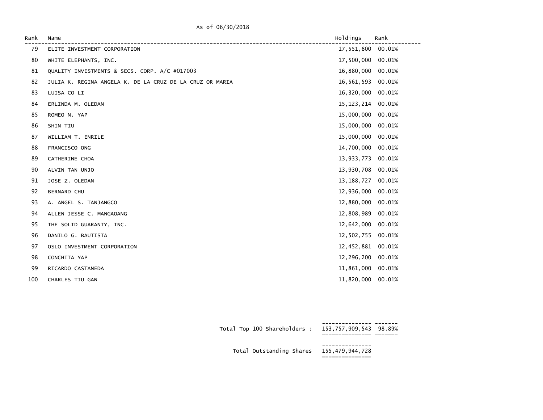| As of 06/30/2018 |
|------------------|
|------------------|

| Rank | Name                                                     | Holdings     | Rank   |
|------|----------------------------------------------------------|--------------|--------|
| 79   | ELITE INVESTMENT CORPORATION                             | 17,551,800   | 00.01% |
| 80   | WHITE ELEPHANTS, INC.                                    | 17,500,000   | 00.01% |
| 81   | QUALITY INVESTMENTS & SECS. CORP. A/C #017003            | 16,880,000   | 00.01% |
| 82   | JULIA K. REGINA ANGELA K. DE LA CRUZ DE LA CRUZ OR MARIA | 16,561,593   | 00.01% |
| 83   | LUISA CO LI                                              | 16,320,000   | 00.01% |
| 84   | ERLINDA M. OLEDAN                                        | 15, 123, 214 | 00.01% |
| 85   | ROMEO N. YAP                                             | 15,000,000   | 00.01% |
| 86   | SHIN TIU                                                 | 15,000,000   | 00.01% |
| 87   | WILLIAM T. ENRILE                                        | 15,000,000   | 00.01% |
| 88   | FRANCISCO ONG                                            | 14,700,000   | 00.01% |
| 89   | CATHERINE CHOA                                           | 13,933,773   | 00.01% |
| 90   | ALVIN TAN UNJO                                           | 13,930,708   | 00.01% |
| 91   | JOSE Z. OLEDAN                                           | 13, 188, 727 | 00.01% |
| 92   | BERNARD CHU                                              | 12,936,000   | 00.01% |
| 93   | A. ANGEL S. TANJANGCO                                    | 12,880,000   | 00.01% |
| 94   | ALLEN JESSE C. MANGAOANG                                 | 12,808,989   | 00.01% |
| 95   | THE SOLID GUARANTY, INC.                                 | 12,642,000   | 00.01% |
| 96   | DANILO G. BAUTISTA                                       | 12,502,755   | 00.01% |
| 97   | OSLO INVESTMENT CORPORATION                              | 12,452,881   | 00.01% |
| 98   | CONCHITA YAP                                             | 12,296,200   | 00.01% |
| 99   | RICARDO CASTANEDA                                        | 11,861,000   | 00.01% |
| 100  | CHARLES TIU GAN                                          | 11,820,000   | 00.01% |

| Total Top 100 Shareholders :             | 153,757,909,543 98.89% |  |
|------------------------------------------|------------------------|--|
| Total Outstanding Shares 155,479,944,728 |                        |  |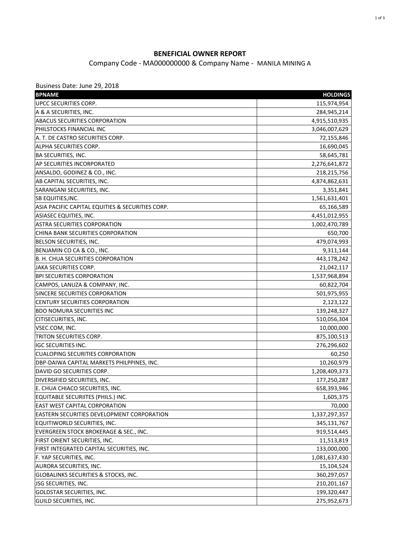## **BENEFICIAL OWNER REPORT**

Company Code - MA000000000 & Company Name - MANILA MINING A

| Business Date: June 29, 2018                      |                 |
|---------------------------------------------------|-----------------|
| <b>BPNAME</b>                                     | <b>HOLDINGS</b> |
| <b>UPCC SECURITIES CORP.</b>                      | 115,974,954     |
| A & A SECURITIES, INC.                            | 284,945,214     |
| ABACUS SECURITIES CORPORATION                     | 4,915,510,935   |
| PHILSTOCKS FINANCIAL INC                          | 3,046,007,629   |
| A. T. DE CASTRO SECURITIES CORP.                  | 72,155,846      |
| <b>ALPHA SECURITIES CORP.</b>                     | 16,690,045      |
| <b>BA SECURITIES, INC.</b>                        | 58,645,781      |
| AP SECURITIES INCORPORATED                        | 2,276,641,872   |
| ANSALDO, GODINEZ & CO., INC.                      | 218,215,756     |
| AB CAPITAL SECURITIES, INC.                       | 4,874,862,631   |
| SARANGANI SECURITIES, INC.                        | 3,351,841       |
| <b>SB EQUITIES, INC.</b>                          | 1,561,631,401   |
| ASIA PACIFIC CAPITAL EQUITIES & SECURITIES CORP.  | 65,166,589      |
| <b>ASIASEC EQUITIES, INC.</b>                     | 4,451,012,955   |
| <b>ASTRA SECURITIES CORPORATION</b>               | 1,002,470,789   |
| CHINA BANK SECURITIES CORPORATION                 | 650,700         |
| BELSON SECURITIES, INC.                           | 479,074,993     |
| BENJAMIN CO CA & CO., INC.                        | 9,311,144       |
| B. H. CHUA SECURITIES CORPORATION                 | 443,178,242     |
| JAKA SECURITIES CORP.                             | 21,042,117      |
| <b>BPI SECURITIES CORPORATION</b>                 | 1,537,968,894   |
| CAMPOS, LANUZA & COMPANY, INC.                    | 60,822,704      |
| SINCERE SECURITIES CORPORATION                    | 501,975,955     |
| <b>CENTURY SECURITIES CORPORATION</b>             | 2,123,122       |
| <b>BDO NOMURA SECURITIES INC</b>                  | 139,248,327     |
| <b>CITISECURITIES, INC.</b>                       | 510,056,304     |
| VSEC.COM, INC.                                    | 10,000,000      |
| TRITON SECURITIES CORP.                           | 875,100,513     |
| <b>IGC SECURITIES INC.</b>                        | 276,296,602     |
| <b>CUALOPING SECURITIES CORPORATION</b>           | 60,250          |
| DBP-DAIWA CAPITAL MARKETS PHILPPINES, INC.        | 10,260,979      |
| DAVID GO SECURITIES CORP.                         | 1,208,409,373   |
| DIVERSIFIED SECURITIES, INC.                      | 177,250,287     |
| E. CHUA CHIACO SECURITIES, INC.                   | 658,393,946     |
| <b>EQUITABLE SECURIITES (PHILS.) INC.</b>         | 1,605,375       |
| <b>EAST WEST CAPITAL CORPORATION</b>              | 70,000          |
| <b>EASTERN SECURITIES DEVELOPMENT CORPORATION</b> | 1,337,297,357   |
| EQUITIWORLD SECURITIES, INC.                      | 345,131,767     |
| <b>EVERGREEN STOCK BROKERAGE &amp; SEC., INC.</b> | 919,514,445     |
| FIRST ORIENT SECURITIES, INC.                     | 11,513,819      |
| FIRST INTEGRATED CAPITAL SECURITIES, INC.         | 133,000,000     |
| F. YAP SECURITIES, INC.                           | 1,081,637,430   |
| AURORA SECURITIES, INC.                           | 15,104,524      |
| GLOBALINKS SECURITIES & STOCKS, INC.              | 360,297,057     |
| JSG SECURITIES, INC.                              | 210,201,167     |
| <b>GOLDSTAR SECURITIES, INC.</b>                  | 199,320,447     |
| <b>GUILD SECURITIES, INC.</b>                     | 275,952,673     |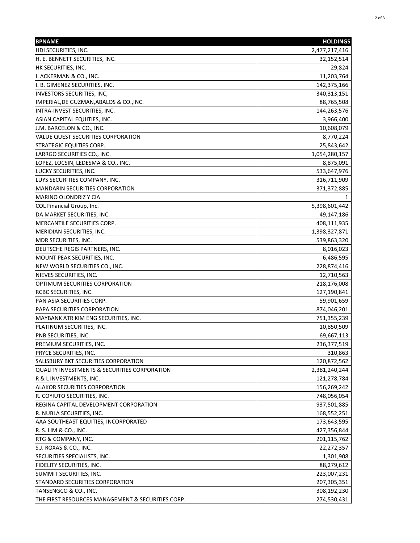| <b>BPNAME</b>                                           | <b>HOLDINGS</b> |
|---------------------------------------------------------|-----------------|
| HDI SECURITIES, INC.                                    | 2,477,217,416   |
| H. E. BENNETT SECURITIES, INC.                          | 32,152,514      |
| HK SECURITIES, INC.                                     | 29,824          |
| I. ACKERMAN & CO., INC.                                 | 11,203,764      |
| I. B. GIMENEZ SECURITIES, INC.                          | 142,375,166     |
| INVESTORS SECURITIES, INC,                              | 340, 313, 151   |
| IMPERIAL, DE GUZMAN, ABALOS & CO., INC.                 | 88,765,508      |
| INTRA-INVEST SECURITIES, INC.                           | 144,263,576     |
| ASIAN CAPITAL EQUITIES, INC.                            | 3,966,400       |
| J.M. BARCELON & CO., INC.                               | 10,608,079      |
| VALUE QUEST SECURITIES CORPORATION                      | 8,770,224       |
| <b>STRATEGIC EQUITIES CORP.</b>                         | 25,843,642      |
| LARRGO SECURITIES CO., INC.                             | 1,054,280,157   |
| LOPEZ, LOCSIN, LEDESMA & CO., INC.                      | 8,875,091       |
| LUCKY SECURITIES, INC.                                  | 533,647,976     |
| LUYS SECURITIES COMPANY, INC.                           | 316,711,909     |
| <b>MANDARIN SECURITIES CORPORATION</b>                  | 371,372,885     |
| MARINO OLONDRIZ Y CIA                                   | 1               |
| COL Financial Group, Inc.                               | 5,398,601,442   |
| DA MARKET SECURITIES, INC.                              | 49,147,186      |
| MERCANTILE SECURITIES CORP.                             | 408,111,935     |
| MERIDIAN SECURITIES, INC.                               | 1,398,327,871   |
| MDR SECURITIES, INC.                                    | 539,863,320     |
| DEUTSCHE REGIS PARTNERS, INC.                           | 8,016,023       |
| MOUNT PEAK SECURITIES, INC.                             | 6,486,595       |
| NEW WORLD SECURITIES CO., INC.                          | 228,874,416     |
| NIEVES SECURITIES, INC.                                 | 12,710,563      |
| OPTIMUM SECURITIES CORPORATION                          | 218,176,008     |
| RCBC SECURITIES, INC.                                   | 127,190,841     |
| PAN ASIA SECURITIES CORP.                               | 59,901,659      |
| PAPA SECURITIES CORPORATION                             | 874,046,201     |
| MAYBANK ATR KIM ENG SECURITIES, INC.                    | 751,355,239     |
| PLATINUM SECURITIES, INC.                               | 10,850,509      |
| PNB SECURITIES, INC.                                    | 69,667,113      |
| PREMIUM SECURITIES, INC.                                | 236,377,519     |
| PRYCE SECURITIES, INC.                                  | 310,863         |
| SALISBURY BKT SECURITIES CORPORATION                    | 120,872,562     |
| <b>QUALITY INVESTMENTS &amp; SECURITIES CORPORATION</b> | 2,381,240,244   |
| R & L INVESTMENTS, INC.                                 | 121,278,784     |
| ALAKOR SECURITIES CORPORATION                           | 156,269,242     |
| R. COYIUTO SECURITIES, INC.                             | 748,056,054     |
| REGINA CAPITAL DEVELOPMENT CORPORATION                  | 937,501,885     |
| R. NUBLA SECURITIES, INC.                               | 168,552,251     |
| AAA SOUTHEAST EQUITIES, INCORPORATED                    | 173,643,595     |
| R. S. LIM & CO., INC.                                   | 427,356,844     |
| RTG & COMPANY, INC.                                     | 201,115,762     |
| S.J. ROXAS & CO., INC.                                  | 22,272,357      |
| SECURITIES SPECIALISTS, INC.                            | 1,301,908       |
| FIDELITY SECURITIES, INC.                               | 88,279,612      |
| SUMMIT SECURITIES, INC.                                 | 223,007,231     |
| STANDARD SECURITIES CORPORATION                         | 207,305,351     |
| TANSENGCO & CO., INC.                                   | 308,192,230     |
| THE FIRST RESOURCES MANAGEMENT & SECURITIES CORP.       | 274,530,431     |
|                                                         |                 |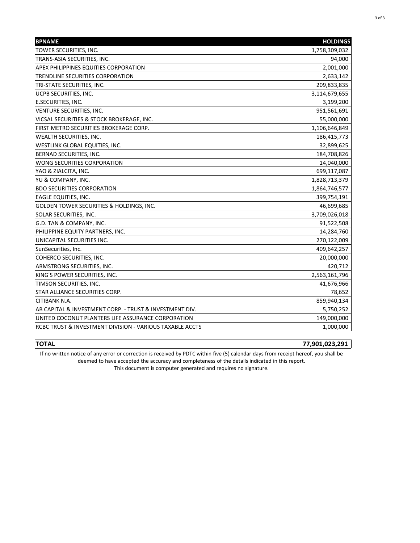| <b>BPNAME</b>                                            | <b>HOLDINGS</b> |
|----------------------------------------------------------|-----------------|
| TOWER SECURITIES, INC.                                   | 1,758,309,032   |
| TRANS-ASIA SECURITIES, INC.                              | 94,000          |
| APEX PHILIPPINES EQUITIES CORPORATION                    | 2,001,000       |
| TRENDLINE SECURITIES CORPORATION                         | 2,633,142       |
| TRI-STATE SECURITIES, INC.                               | 209,833,835     |
| UCPB SECURITIES, INC.                                    | 3,114,679,655   |
| E.SECURITIES, INC.                                       | 3,199,200       |
| <b>VENTURE SECURITIES, INC.</b>                          | 951,561,691     |
| VICSAL SECURITIES & STOCK BROKERAGE, INC.                | 55,000,000      |
| FIRST METRO SECURITIES BROKERAGE CORP.                   | 1,106,646,849   |
| WEALTH SECURITIES, INC.                                  | 186,415,773     |
| WESTLINK GLOBAL EQUITIES, INC.                           | 32,899,625      |
| BERNAD SECURITIES, INC.                                  | 184,708,826     |
| WONG SECURITIES CORPORATION                              | 14,040,000      |
| YAO & ZIALCITA, INC.                                     | 699,117,087     |
| YU & COMPANY, INC.                                       | 1,828,713,379   |
| <b>BDO SECURITIES CORPORATION</b>                        | 1,864,746,577   |
| EAGLE EQUITIES, INC.                                     | 399,754,191     |
| GOLDEN TOWER SECURITIES & HOLDINGS, INC.                 | 46,699,685      |
| SOLAR SECURITIES, INC.                                   | 3,709,026,018   |
| G.D. TAN & COMPANY, INC.                                 | 91,522,508      |
| PHILIPPINE EQUITY PARTNERS, INC.                         | 14,284,760      |
| UNICAPITAL SECURITIES INC.                               | 270,122,009     |
| SunSecurities, Inc.                                      | 409,642,257     |
| COHERCO SECURITIES, INC.                                 | 20,000,000      |
| ARMSTRONG SECURITIES, INC.                               | 420,712         |
| KING'S POWER SECURITIES, INC.                            | 2,563,161,796   |
| TIMSON SECURITIES, INC.                                  | 41,676,966      |
| STAR ALLIANCE SECURITIES CORP.                           | 78,652          |
| CITIBANK N.A.                                            | 859,940,134     |
| AB CAPITAL & INVESTMENT CORP. - TRUST & INVESTMENT DIV.  | 5,750,252       |
| UNITED COCONUT PLANTERS LIFE ASSURANCE CORPORATION       | 149,000,000     |
| RCBC TRUST & INVESTMENT DIVISION - VARIOUS TAXABLE ACCTS | 1,000,000       |

**TOTAL 77,901,023,291** If no written notice of any error or correction is received by PDTC within five (5) calendar days from receipt hereof, you shall be

deemed to have accepted the accuracy and completeness of the details indicated in this report.

This document is computer generated and requires no signature.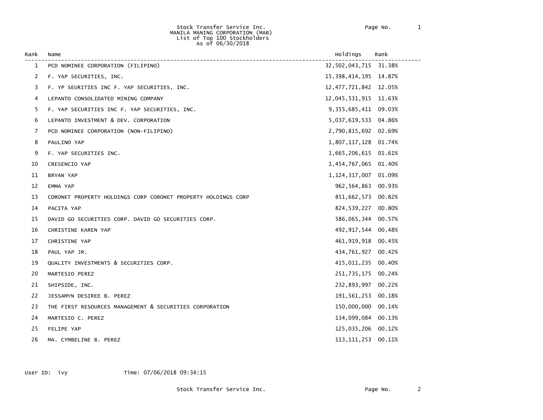#### Stock Transfer Service Inc. Page No. 1 MANILA MANING CORPORATION (MAB) List of Top 100 Stockholders As of 06/30/2018

| Rank | Name                                                          | Holdings                 | Rank |
|------|---------------------------------------------------------------|--------------------------|------|
| 1    | PCD NOMINEE CORPORATION (FILIPINO)                            | 32,502,043,715 31.38%    |      |
| 2    | F. YAP SECURITIES, INC.                                       | 15, 398, 414, 195 14.87% |      |
| 3    | F. YP SEURITIES INC F. YAP SECURITIES, INC.                   | 12, 477, 721, 842 12.05% |      |
| 4    | LEPANTO CONSOLIDATED MINING COMPANY                           | 12,045,531,915 11.63%    |      |
| 5    | F. YAP SECURITIES INC F. YAP SECURITIES, INC.                 | 9, 355, 685, 411 09.03%  |      |
| 6    | LEPANTO INVESTMENT & DEV. CORPORATION                         | 5,037,619,533 04.86%     |      |
| 7    | PCD NOMINEE CORPORATION (NON-FILIPINO)                        | 2,790,815,692 02.69%     |      |
| 8    | PAULINO YAP                                                   | 1,807,117,128 01.74%     |      |
| 9    | F. YAP SECURITIES INC.                                        | 1,665,206,615 01.61%     |      |
| 10   | CRESENCIO YAP                                                 | 1,454,767,065 01.40%     |      |
| 11   | BRYAN YAP                                                     | 1, 124, 317, 007 01.09%  |      |
| 12   | EMMA YAP                                                      | 962,564,863 00.93%       |      |
| 13   | CORONET PROPERTY HOLDINGS CORP CORONET PROPERTY HOLDINGS CORP | 851,662,573 00.82%       |      |
| 14   | PACITA YAP                                                    | 824,539,227 00.80%       |      |
| 15   | DAVID GO SECURITIES CORP. DAVID GO SECURITIES CORP.           | 586,065,344 00.57%       |      |
| 16   | CHRISTINE KAREN YAP                                           | 492, 917, 544 00.48%     |      |
| 17   | CHRISTINE YAP                                                 | 461, 919, 918 00.45%     |      |
| 18   | PAUL YAP JR.                                                  | 434,761,927 00.42%       |      |
| 19   | QUALITY INVESTMENTS & SECURITIES CORP.                        | 415,011,235 00.40%       |      |
| 20   | MARTESIO PEREZ                                                | 251,735,175 00.24%       |      |
| 21   | SHIPSIDE, INC.                                                | 232,893,997 00.22%       |      |
| 22   | JESSAMYN DESIREE B. PEREZ                                     | 191,561,253 00.18%       |      |
| 23   | THE FIRST RESOURCES MANAGEMENT & SECURITIES CORPORATION       | 150,000,000 00.14%       |      |
| 24   | MARTESIO C. PEREZ                                             | 134,099,084 00.13%       |      |
| 25   | FELIPE YAP                                                    | 125,035,206 00.12%       |      |
| 26   | MA. CYMBELINE B. PEREZ                                        | 113, 111, 253 00. 11%    |      |

User ID: ivy Time: 07/06/2018 09:34:15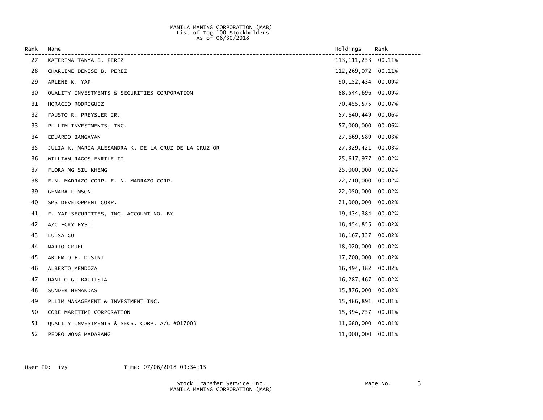### MANILA MANING CORPORATION (MAB) List of Top 100 Stockholders  $\Delta s$  of 06/30/2018

| Rank | Name                                                 | Holdings              | Rank   |
|------|------------------------------------------------------|-----------------------|--------|
| 27   | KATERINA TANYA B. PEREZ                              | 113, 111, 253         | 00.11% |
| 28   | CHARLENE DENISE B. PEREZ                             | 112, 269, 072 00. 11% |        |
| 29   | ARLENE K. YAP                                        | 90, 152, 434          | 00.09% |
| 30   | QUALITY INVESTMENTS & SECURITIES CORPORATION         | 88,544,696            | 00.09% |
| 31   | HORACIO RODRIGUEZ                                    | 70,455,575            | 00.07% |
| 32   | FAUSTO R. PREYSLER JR.                               | 57,640,449            | 00.06% |
| 33   | PL LIM INVESTMENTS, INC.                             | 57,000,000            | 00.06% |
| 34   | EDUARDO BANGAYAN                                     | 27,669,589            | 00.03% |
| 35   | JULIA K. MARIA ALESANDRA K. DE LA CRUZ DE LA CRUZ OR | 27,329,421            | 00.03% |
| 36   | WILLIAM RAGOS ENRILE II                              | 25,617,977            | 00.02% |
| 37   | FLORA NG SIU KHENG                                   | 25,000,000            | 00.02% |
| 38   | E.N. MADRAZO CORP. E. N. MADRAZO CORP.               | 22,710,000            | 00.02% |
| 39   | <b>GENARA LIMSON</b>                                 | 22,050,000            | 00.02% |
| 40   | SMS DEVELOPMENT CORP.                                | 21,000,000            | 00.02% |
| 41   | F. YAP SECURITIES, INC. ACCOUNT NO. BY               | 19,434,384            | 00.02% |
| 42   | A/C - CKY FYSI                                       | 18,454,855            | 00.02% |
| 43   | LUISA CO                                             | 18, 167, 337          | 00.02% |
| 44   | MARIO CRUEL                                          | 18,020,000            | 00.02% |
| 45   | ARTEMIO F. DISINI                                    | 17,700,000            | 00.02% |
| 46   | ALBERTO MENDOZA                                      | 16,494,382            | 00.02% |
| 47   | DANILO G. BAUTISTA                                   | 16, 287, 467          | 00.02% |
| 48   | SUNDER HEMANDAS                                      | 15,876,000            | 00.02% |
| 49   | PLLIM MANAGEMENT & INVESTMENT INC.                   | 15,486,891            | 00.01% |
| 50   | CORE MARITIME CORPORATION                            | 15,394,757            | 00.01% |
| 51   | QUALITY INVESTMENTS & SECS. CORP. A/C #017003        | 11,680,000            | 00.01% |
| 52   | PEDRO WONG MADARANG                                  | 11,000,000            | 00.01% |

User ID: ivy Time: 07/06/2018 09:34:15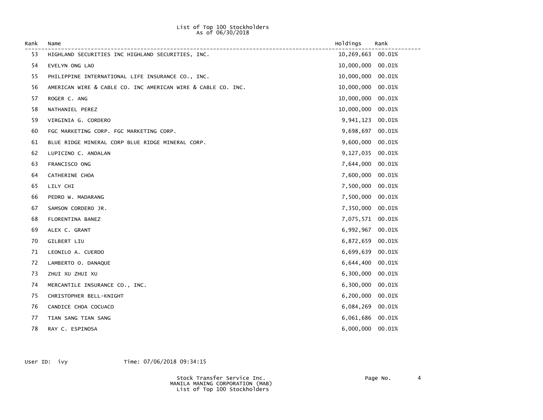### List of Top 100 Stockholders  $\Delta s$  of 06/30/2018

| Rank | Name                                                         | Holdings         | Rank   |
|------|--------------------------------------------------------------|------------------|--------|
| 53   | HIGHLAND SECURITIES INC HIGHLAND SECURITIES, INC.            | 10,269,663       | 00.01% |
| 54   | EVELYN ONG LAO                                               | 10,000,000       | 00.01% |
| 55   | PHILIPPINE INTERNATIONAL LIFE INSURANCE CO., INC.            | 10,000,000       | 00.01% |
| 56   | AMERICAN WIRE & CABLE CO. INC AMERICAN WIRE & CABLE CO. INC. | 10,000,000       | 00.01% |
| 57   | ROGER C. ANG                                                 | 10,000,000       | 00.01% |
| 58   | NATHANIEL PEREZ                                              | 10,000,000       | 00.01% |
| 59   | VIRGINIA G. CORDERO                                          | 9,941,123        | 00.01% |
| 60   | FGC MARKETING CORP. FGC MARKETING CORP.                      | 9,698,697        | 00.01% |
| 61   | BLUE RIDGE MINERAL CORP BLUE RIDGE MINERAL CORP.             | 9,600,000        | 00.01% |
| 62   | LUPICINO C. ANDALAN                                          | 9,127,035        | 00.01% |
| 63   | FRANCISCO ONG                                                | 7,644,000        | 00.01% |
| 64   | CATHERINE CHOA                                               | 7,600,000        | 00.01% |
| 65   | LILY CHI                                                     | 7,500,000        | 00.01% |
| 66   | PEDRO W. MADARANG                                            | 7,500,000        | 00.01% |
| 67   | SAMSON CORDERO JR.                                           | 7,350,000        | 00.01% |
| 68   | FLORENTINA BANEZ                                             | 7,075,571 00.01% |        |
| 69   | ALEX C. GRANT                                                | 6,992,967        | 00.01% |
| 70   | GILBERT LIU                                                  | 6,872,659        | 00.01% |
| 71   | LEONILO A. CUERDO                                            | 6,699,639        | 00.01% |
| 72   | LAMBERTO O. DANAQUE                                          | 6,644,400        | 00.01% |
| 73   | ZHUI XU ZHUI XU                                              | 6,300,000        | 00.01% |
| 74   | MERCANTILE INSURANCE CO., INC.                               | 6,300,000        | 00.01% |
| 75   | CHRISTOPHER BELL-KNIGHT                                      | 6,200,000        | 00.01% |
| 76   | CANDICE CHOA COCUACO                                         | 6,084,269        | 00.01% |
| 77   | TIAN SANG TIAN SANG                                          | 6,061,686 00.01% |        |
| 78   | RAY C. ESPINOSA                                              | 6,000,000        | 00.01% |

User ID: ivy Time: 07/06/2018 09:34:15

 Stock Transfer Service Inc. Page No. 4 MANILA MANING CORPORATION (MAB) List of Top 100 Stockholders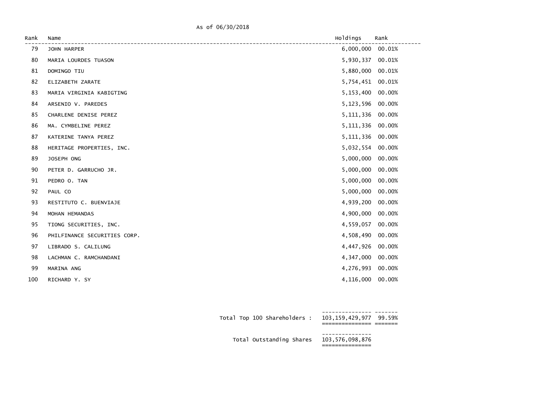As of 06/30/2018

| Name                         | Holdings  | Rank                                                                                                                                                                                                                                                                                            |
|------------------------------|-----------|-------------------------------------------------------------------------------------------------------------------------------------------------------------------------------------------------------------------------------------------------------------------------------------------------|
| JOHN HARPER                  | 6,000,000 | 00.01%                                                                                                                                                                                                                                                                                          |
| MARIA LOURDES TUASON         |           | 00.01%                                                                                                                                                                                                                                                                                          |
| DOMINGO TIU                  |           | 00.01%                                                                                                                                                                                                                                                                                          |
| ELIZABETH ZARATE             |           |                                                                                                                                                                                                                                                                                                 |
| MARIA VIRGINIA KABIGTING     |           | 00.00%                                                                                                                                                                                                                                                                                          |
| ARSENIO V. PAREDES           |           | 00.00%                                                                                                                                                                                                                                                                                          |
| CHARLENE DENISE PEREZ        |           | 00.00%                                                                                                                                                                                                                                                                                          |
| MA. CYMBELINE PEREZ          |           | 00.00%                                                                                                                                                                                                                                                                                          |
| KATERINE TANYA PEREZ         |           | 00.00%                                                                                                                                                                                                                                                                                          |
| HERITAGE PROPERTIES, INC.    |           | 00.00%                                                                                                                                                                                                                                                                                          |
| JOSEPH ONG                   |           | 00.00%                                                                                                                                                                                                                                                                                          |
| PETER D. GARRUCHO JR.        |           | 00.00%                                                                                                                                                                                                                                                                                          |
| PEDRO O. TAN                 |           | 00.00%                                                                                                                                                                                                                                                                                          |
| PAUL CO                      |           | 00.00%                                                                                                                                                                                                                                                                                          |
| RESTITUTO C. BUENVIAJE       |           | 00.00%                                                                                                                                                                                                                                                                                          |
| MOHAN HEMANDAS               |           | 00.00%                                                                                                                                                                                                                                                                                          |
| TIONG SECURITIES, INC.       |           | 00.00%                                                                                                                                                                                                                                                                                          |
| PHILFINANCE SECURITIES CORP. |           | 00.00%                                                                                                                                                                                                                                                                                          |
| LIBRADO S. CALILUNG          |           | 00.00%                                                                                                                                                                                                                                                                                          |
| LACHMAN C. RAMCHANDANI       |           | 00.00%                                                                                                                                                                                                                                                                                          |
| MARINA ANG                   |           | 00.00%                                                                                                                                                                                                                                                                                          |
| RICHARD Y. SY                |           |                                                                                                                                                                                                                                                                                                 |
|                              |           | 5,930,337<br>5,880,000<br>5,754,451 00.01%<br>5,153,400<br>5,123,596<br>5,111,336<br>5, 111, 336<br>5, 111, 336<br>5,032,554<br>5,000,000<br>5,000,000<br>5,000,000<br>5,000,000<br>4,939,200<br>4,900,000<br>4,559,057<br>4,508,490<br>4,447,926<br>4,347,000<br>4,276,993<br>4,116,000 00.00% |

| Total Top 100 Shareholders :             | 103,159,429,977 99.59% |  |
|------------------------------------------|------------------------|--|
| Total Outstanding Shares 103,576,098,876 | ____________           |  |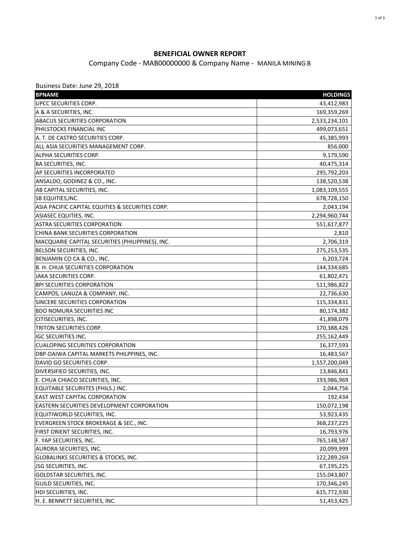## **BENEFICIAL OWNER REPORT**

## Company Code - MAB00000000 & Company Name - MANILA MINING B

| Business Date: June 29, 2018                     |                 |
|--------------------------------------------------|-----------------|
| <b>BPNAME</b>                                    | <b>HOLDINGS</b> |
| UPCC SECURITIES CORP.                            | 43,412,983      |
| A & A SECURITIES, INC.                           | 169,359,269     |
| ABACUS SECURITIES CORPORATION                    | 2,533,234,101   |
| PHILSTOCKS FINANCIAL INC                         | 499,073,651     |
| A. T. DE CASTRO SECURITIES CORP.                 | 45,385,993      |
| ALL ASIA SECURITIES MANAGEMENT CORP.             | 856,000         |
| ALPHA SECURITIES CORP.                           | 9,179,590       |
| <b>BA SECURITIES, INC.</b>                       | 40,475,314      |
| AP SECURITIES INCORPORATED                       | 295,792,203     |
| ANSALDO, GODINEZ & CO., INC.                     | 138,520,538     |
| AB CAPITAL SECURITIES, INC.                      | 1,083,109,555   |
| SB EQUITIES, INC.                                | 678,728,150     |
| ASIA PACIFIC CAPITAL EQUITIES & SECURITIES CORP. | 2,043,194       |
| ASIASEC EQUITIES, INC.                           | 2,294,960,744   |
| <b>ASTRA SECURITIES CORPORATION</b>              | 551,617,877     |
| CHINA BANK SECURITIES CORPORATION                | 2,810           |
| MACQUARIE CAPITAL SECURITIES (PHILIPPINES), INC. | 2,706,319       |
| BELSON SECURITIES, INC.                          | 275,253,535     |
| BENJAMIN CO CA & CO., INC.                       | 6,203,724       |
| <b>B. H. CHUA SECURITIES CORPORATION</b>         | 144,334,685     |
| <b>JAKA SECURITIES CORP.</b>                     | 61,802,471      |
| <b>BPI SECURITIES CORPORATION</b>                | 511,986,822     |
| CAMPOS, LANUZA & COMPANY, INC.                   | 22,736,630      |
| SINCERE SECURITIES CORPORATION                   | 115,334,831     |
| <b>BDO NOMURA SECURITIES INC</b>                 | 80,174,382      |
| CITISECURITIES, INC.                             | 41,898,079      |
| TRITON SECURITIES CORP.                          | 170,388,426     |
| <b>IGC SECURITIES INC.</b>                       | 255,162,449     |
| <b>CUALOPING SECURITIES CORPORATION</b>          | 16,377,593      |
| DBP-DAIWA CAPITAL MARKETS PHILPPINES, INC.       | 16,483,567      |
| DAVID GO SECURITIES CORP.                        | 1,557,200,049   |
| DIVERSIFIED SECURITIES, INC.                     | 13,846,841      |
| E. CHUA CHIACO SECURITIES, INC.                  | 193,986,969     |
| EQUITABLE SECURIITES (PHILS.) INC.               | 2,044,756       |
| EAST WEST CAPITAL CORPORATION                    | 192,434         |
| EASTERN SECURITIES DEVELOPMENT CORPORATION       | 150,072,198     |
| EQUITIWORLD SECURITIES, INC.                     | 53,923,435      |
| EVERGREEN STOCK BROKERAGE & SEC., INC.           | 368,237,225     |
| FIRST ORIENT SECURITIES, INC.                    | 16,793,976      |
| F. YAP SECURITIES, INC.                          | 765,148,587     |
| AURORA SECURITIES, INC.                          | 20,099,999      |
| GLOBALINKS SECURITIES & STOCKS, INC.             | 122,289,269     |
| JSG SECURITIES, INC.                             | 67,195,225      |
| GOLDSTAR SECURITIES, INC.                        | 155,043,807     |
| GUILD SECURITIES, INC.                           | 170,346,245     |
| HDI SECURITIES, INC.                             | 615,772,930     |
| H. E. BENNETT SECURITIES, INC.                   | 51,453,425      |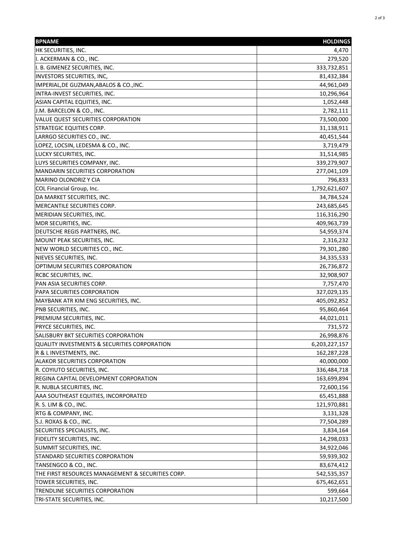| <b>BPNAME</b>                                           | <b>HOLDINGS</b> |
|---------------------------------------------------------|-----------------|
| HK SECURITIES, INC.                                     | 4,470           |
| I. ACKERMAN & CO., INC.                                 | 279,520         |
| I. B. GIMENEZ SECURITIES, INC.                          | 333,732,851     |
| INVESTORS SECURITIES, INC,                              | 81,432,384      |
| IMPERIAL, DE GUZMAN, ABALOS & CO., INC.                 | 44,961,049      |
| INTRA-INVEST SECURITIES, INC.                           | 10,296,964      |
| ASIAN CAPITAL EQUITIES, INC.                            | 1,052,448       |
| J.M. BARCELON & CO., INC.                               | 2,782,111       |
| VALUE QUEST SECURITIES CORPORATION                      | 73,500,000      |
| STRATEGIC EQUITIES CORP.                                | 31,138,911      |
| LARRGO SECURITIES CO., INC.                             | 40,451,544      |
| LOPEZ, LOCSIN, LEDESMA & CO., INC.                      | 3,719,479       |
| LUCKY SECURITIES, INC.                                  | 31,514,985      |
| LUYS SECURITIES COMPANY, INC.                           | 339,279,907     |
| <b>MANDARIN SECURITIES CORPORATION</b>                  | 277,041,109     |
| MARINO OLONDRIZ Y CIA                                   | 796,833         |
| COL Financial Group, Inc.                               | 1,792,621,607   |
| DA MARKET SECURITIES, INC.                              | 34,784,524      |
| MERCANTILE SECURITIES CORP.                             | 243,685,645     |
| MERIDIAN SECURITIES, INC.                               | 116,316,290     |
| MDR SECURITIES, INC.                                    | 409,963,739     |
| DEUTSCHE REGIS PARTNERS, INC.                           | 54,959,374      |
| MOUNT PEAK SECURITIES, INC.                             | 2,316,232       |
| NEW WORLD SECURITIES CO., INC.                          | 79,301,280      |
| NIEVES SECURITIES, INC.                                 | 34,335,533      |
| OPTIMUM SECURITIES CORPORATION                          | 26,736,872      |
| RCBC SECURITIES, INC.                                   | 32,908,907      |
| PAN ASIA SECURITIES CORP.                               | 7,757,470       |
| PAPA SECURITIES CORPORATION                             | 327,029,135     |
| MAYBANK ATR KIM ENG SECURITIES, INC.                    | 405,092,852     |
| PNB SECURITIES, INC.                                    | 95,860,464      |
| PREMIUM SECURITIES, INC.                                | 44,021,011      |
| PRYCE SECURITIES, INC.                                  | 731,572         |
| SALISBURY BKT SECURITIES CORPORATION                    | 26,998,876      |
| <b>QUALITY INVESTMENTS &amp; SECURITIES CORPORATION</b> | 6,203,227,157   |
| R & L INVESTMENTS, INC.                                 | 162,287,228     |
| ALAKOR SECURITIES CORPORATION                           | 40,000,000      |
| R. COYIUTO SECURITIES, INC.                             | 336,484,718     |
| REGINA CAPITAL DEVELOPMENT CORPORATION                  | 163,699,894     |
| R. NUBLA SECURITIES, INC.                               | 72,600,156      |
| AAA SOUTHEAST EQUITIES, INCORPORATED                    | 65,451,888      |
| R. S. LIM & CO., INC.                                   | 121,970,881     |
| RTG & COMPANY, INC.                                     | 3,131,328       |
| S.J. ROXAS & CO., INC.                                  | 77,504,289      |
| SECURITIES SPECIALISTS, INC.                            | 3,834,164       |
| FIDELITY SECURITIES, INC.                               | 14,298,033      |
| SUMMIT SECURITIES, INC.                                 | 34,922,046      |
| STANDARD SECURITIES CORPORATION                         | 59,939,302      |
| TANSENGCO & CO., INC.                                   | 83,674,412      |
| THE FIRST RESOURCES MANAGEMENT & SECURITIES CORP.       | 542,535,357     |
| TOWER SECURITIES, INC.                                  | 675,462,651     |
| TRENDLINE SECURITIES CORPORATION                        | 599,664         |
| TRI-STATE SECURITIES, INC.                              | 10,217,500      |